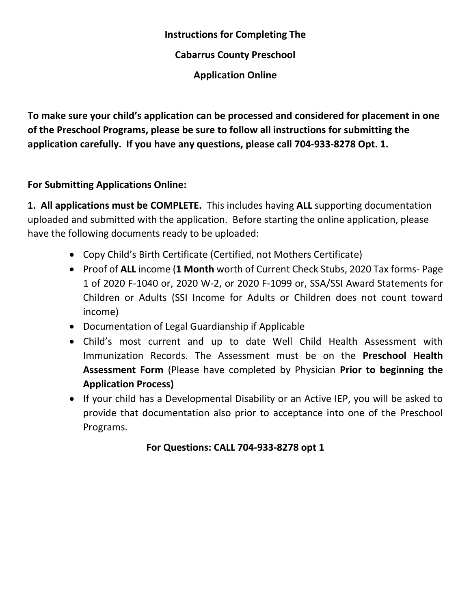# **Instructions for Completing The Cabarrus County Preschool Application Online**

**To make sure your child's application can be processed and considered for placement in one of the Preschool Programs, please be sure to follow all instructions for submitting the application carefully. If you have any questions, please call 704-933-8278 Opt. 1.**

# **For Submitting Applications Online:**

**1. All applications must be COMPLETE.** This includes having **ALL** supporting documentation uploaded and submitted with the application. Before starting the online application, please have the following documents ready to be uploaded:

- Copy Child's Birth Certificate (Certified, not Mothers Certificate)
- Proof of **ALL** income (**1 Month** worth of Current Check Stubs, 2020 Tax forms- Page 1 of 2020 F-1040 or, 2020 W-2, or 2020 F-1099 or, SSA/SSI Award Statements for Children or Adults (SSI Income for Adults or Children does not count toward income)
- Documentation of Legal Guardianship if Applicable
- Child's most current and up to date Well Child Health Assessment with Immunization Records. The Assessment must be on the **Preschool Health Assessment Form** (Please have completed by Physician **Prior to beginning the Application Process)**
- If your child has a Developmental Disability or an Active IEP, you will be asked to provide that documentation also prior to acceptance into one of the Preschool Programs.

# **For Questions: CALL 704-933-8278 opt 1**